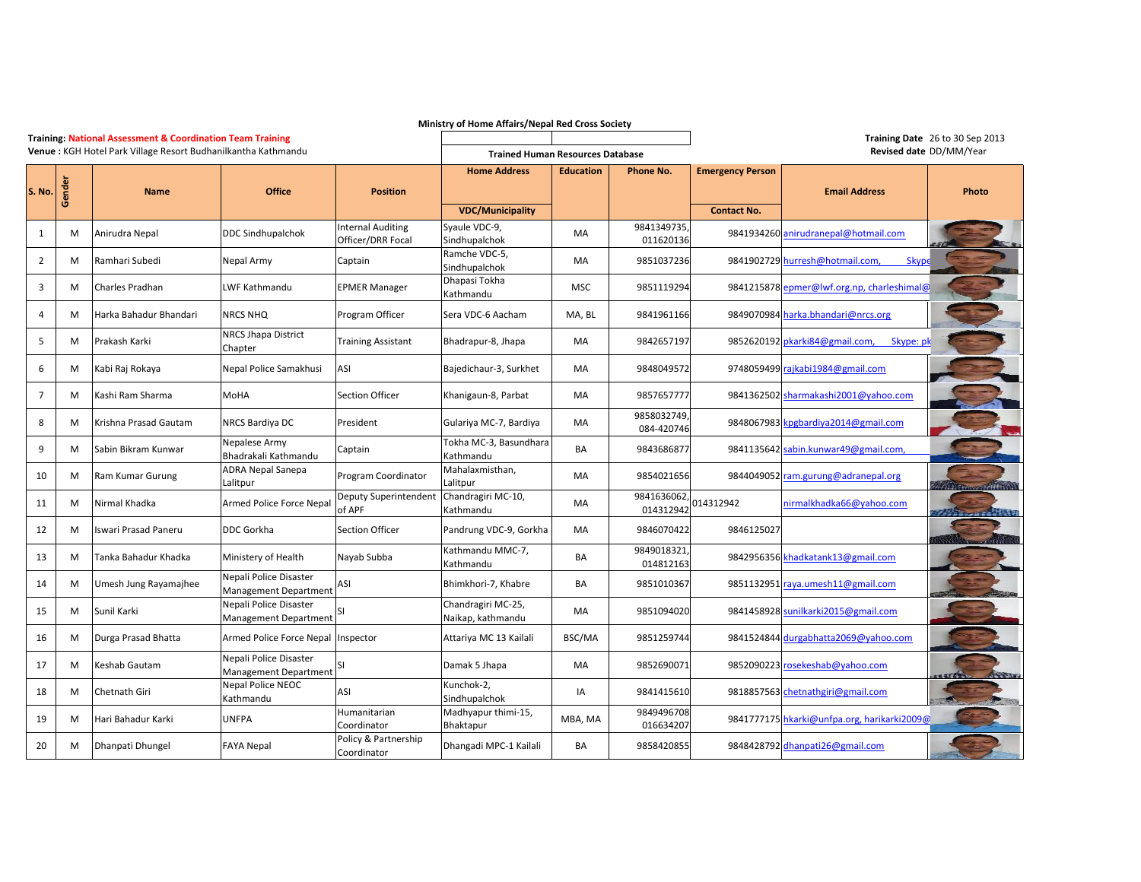| Ministry of Home Affairs/Nepal Red Cross Society              |        |                                                                       |                                                        |                                     |                                         |                                      |                          |                         |                                                |                                 |
|---------------------------------------------------------------|--------|-----------------------------------------------------------------------|--------------------------------------------------------|-------------------------------------|-----------------------------------------|--------------------------------------|--------------------------|-------------------------|------------------------------------------------|---------------------------------|
|                                                               |        | <b>Training: National Assessment &amp; Coordination Team Training</b> |                                                        |                                     |                                         |                                      |                          |                         |                                                | Training Date 26 to 30 Sep 2013 |
| Venue: KGH Hotel Park Village Resort Budhanilkantha Kathmandu |        |                                                                       |                                                        |                                     | <b>Trained Human Resources Database</b> |                                      |                          |                         | Revised date DD/MM/Year                        |                                 |
|                                                               |        |                                                                       |                                                        |                                     | <b>Home Address</b>                     | <b>Education</b><br><b>Phone No.</b> |                          | <b>Emergency Person</b> |                                                |                                 |
| S. No.                                                        | Gender | <b>Name</b>                                                           | <b>Office</b>                                          | <b>Position</b>                     |                                         |                                      |                          |                         | <b>Email Address</b>                           | Photo                           |
|                                                               |        |                                                                       |                                                        |                                     | <b>VDC/Municipality</b>                 |                                      |                          | <b>Contact No.</b>      |                                                |                                 |
|                                                               |        |                                                                       |                                                        | <b>Internal Auditing</b>            | Syaule VDC-9,                           |                                      | 9841349735               |                         |                                                |                                 |
| $\mathbf{1}$                                                  | M      | Anirudra Nepal                                                        | <b>DDC Sindhupalchok</b>                               | Officer/DRR Focal                   | Sindhupalchok                           | MA                                   | 011620136                |                         | 9841934260 anirudranepal@hotmail.com           |                                 |
| $\overline{2}$                                                | M      | Ramhari Subedi                                                        | Nepal Army                                             | Captain                             | Ramche VDC-5,<br>Sindhupalchok          | MA                                   | 9851037236               |                         | <b>Skype</b><br>9841902729 hurresh@hotmail.com |                                 |
| 3                                                             | M      | Charles Pradhan                                                       | LWF Kathmandu                                          | <b>EPMER Manager</b>                | Dhapasi Tokha<br>Kathmandu              | <b>MSC</b>                           | 9851119294               |                         | 9841215878 epmer@lwf.org.np, charleshimal@     |                                 |
| 4                                                             | M      | Harka Bahadur Bhandari                                                | NRCS NHQ                                               | Program Officer                     | Sera VDC-6 Aacham                       | MA, BL                               | 9841961166               |                         | 9849070984 harka.bhandari@nrcs.org             |                                 |
| 5                                                             | M      | Prakash Karki                                                         | <b>NRCS Jhapa District</b><br>Chapter                  | Training Assistant                  | Bhadrapur-8, Jhapa                      | MA                                   | 9842657197               |                         | 9852620192 pkarki84@gmail.com,<br>Skype: pl    |                                 |
| 6                                                             | M      | Kabi Raj Rokaya                                                       | Nepal Police Samakhusi                                 | ASI                                 | Bajedichaur-3, Surkhet                  | MA                                   | 9848049572               |                         | 9748059499 rajkabi1984@gmail.com               |                                 |
| 7                                                             | M      | Kashi Ram Sharma                                                      | MoHA                                                   | <b>Section Officer</b>              | Khanigaun-8, Parbat                     | MA                                   | 9857657777               |                         | 9841362502 sharmakashi2001@yahoo.com           |                                 |
| 8                                                             | м      | Krishna Prasad Gautam                                                 | NRCS Bardiya DC                                        | President                           | Gulariya MC-7, Bardiya                  | MA                                   | 9858032749<br>084-420746 |                         | 9848067983 kpgbardiya2014@gmail.com            |                                 |
| 9                                                             | M      | Sabin Bikram Kunwar                                                   | Nepalese Army<br>Bhadrakali Kathmandu                  | Captain                             | Tokha MC-3, Basundhara<br>Kathmandu     | <b>BA</b>                            | 9843686877               |                         | 9841135642 sabin.kunwar49@gmail.com,           |                                 |
| 10                                                            | M      | Ram Kumar Gurung                                                      | <b>ADRA Nepal Sanepa</b><br>alitpur                    | Program Coordinator                 | Mahalaxmisthan,<br>Lalitpur             | MA                                   | 9854021656               |                         | 9844049052 ram.gurung@adranepal.org            |                                 |
| 11                                                            | M      | Nirmal Khadka                                                         | Armed Police Force Nepal                               | Deputy Superintendent<br>of APF     | Chandragiri MC-10,<br>Kathmandu         | MA                                   | 9841636062<br>014312942  | 014312942               | nirmalkhadka66@yahoo.com                       | <b>Property of Street</b>       |
| 12                                                            | м      | Iswari Prasad Paneru                                                  | DDC Gorkha                                             | <b>Section Officer</b>              | Pandrung VDC-9, Gorkha                  | MA                                   | 9846070422               | 9846125027              |                                                |                                 |
| 13                                                            | M      | Tanka Bahadur Khadka                                                  | Ministery of Health                                    | Nayab Subba                         | Kathmandu MMC-7,<br>Kathmandu           | BA                                   | 9849018321<br>014812163  |                         | 9842956356 khadkatank13@gmail.com              |                                 |
| 14                                                            | м      | Umesh Jung Rayamajhee                                                 | Nepali Police Disaster<br><b>Management Department</b> | ASI                                 | Bhimkhori-7, Khabre                     | BA                                   | 9851010367               |                         | 9851132951 raya.umesh11@gmail.com              |                                 |
| 15                                                            | M      | Sunil Karki                                                           | Nepali Police Disaster<br>Management Department        |                                     | Chandragiri MC-25,<br>Naikap, kathmandu | MA                                   | 9851094020               |                         | 9841458928 sunilkarki2015@gmail.com            |                                 |
| 16                                                            | M      | Durga Prasad Bhatta                                                   | Armed Police Force Nepal                               | Inspector                           | Attariya MC 13 Kailali                  | BSC/MA                               | 9851259744               |                         | 9841524844 durgabhatta2069@yahoo.com           |                                 |
| 17                                                            | M      | Keshab Gautam                                                         | Nepali Police Disaster<br>Management Department        | SI                                  | Damak 5 Jhapa                           | MA                                   | 9852690071               |                         | 9852090223 rosekeshab@yahoo.com                |                                 |
| 18                                                            | M      | Chetnath Giri                                                         | <b>Nepal Police NEOC</b><br>Kathmandu                  | ASI                                 | Kunchok-2,<br>Sindhupalchok             | IA                                   | 9841415610               |                         | 9818857563 chetnathgiri@gmail.com              |                                 |
| 19                                                            | M      | Hari Bahadur Karki                                                    | <b>UNFPA</b>                                           | Humanitarian<br>Coordinator         | Madhyapur thimi-15,<br>Bhaktapur        | MBA, MA                              | 9849496708<br>016634207  |                         | 9841777175 hkarki@unfpa.org, harikarki2009@    |                                 |
| 20                                                            | м      | Dhanpati Dhungel                                                      | <b>FAYA Nepal</b>                                      | Policy & Partnership<br>Coordinator | Dhangadi MPC-1 Kailali                  | BA                                   | 9858420855               |                         | 9848428792 dhanpati26@gmail.com                |                                 |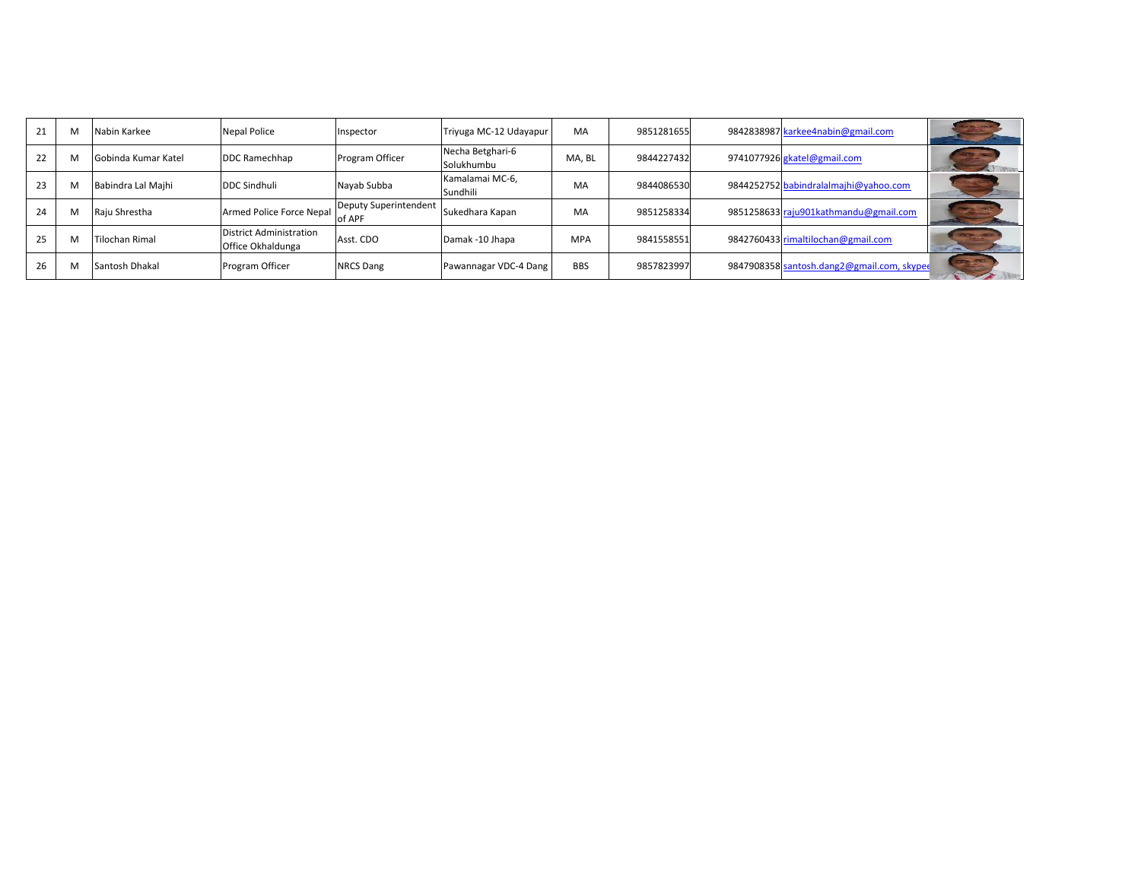| 21 |   | Nabin Karkee               | <b>Nepal Police</b>                          | Inspector                       | Triyuga MC-12 Udayapur         | MA         | 9851281655 | 9842838987 karkee4nabin@gmail.com          |  |
|----|---|----------------------------|----------------------------------------------|---------------------------------|--------------------------------|------------|------------|--------------------------------------------|--|
| 22 | M | <b>Gobinda Kumar Katel</b> | DDC Ramechhap                                | Program Officer                 | Necha Betghari-6<br>Solukhumbu | MA. BL     | 9844227432 | 9741077926 gkatel@gmail.com                |  |
| 23 | N | Babindra Lal Majhi         | <b>DDC Sindhuli</b>                          | Nayab Subba                     | Kamalamai MC-6,<br>Sundhili    | MA         | 9844086530 | 9844252752 babindralalmajhi@yahoo.com      |  |
| 24 | M | Raju Shrestha              | Armed Police Force Nepal                     | Deputy Superintendent<br>of APF | Sukedhara Kapan                | MA         | 9851258334 | 9851258633 raju901kathmandu@gmail.com      |  |
| 25 |   | <b>Tilochan Rimal</b>      | District Administration<br>Office Okhaldunga | Asst. CDO                       | Damak -10 Jhapa                | <b>MPA</b> | 9841558551 | 9842760433 rimaltilochan@gmail.com         |  |
| 26 |   | Santosh Dhakal             | Program Officer                              | <b>NRCS Dang</b>                | Pawannagar VDC-4 Dang          | <b>BBS</b> | 9857823997 | 9847908358 santosh.dang2@gmail.com, skyped |  |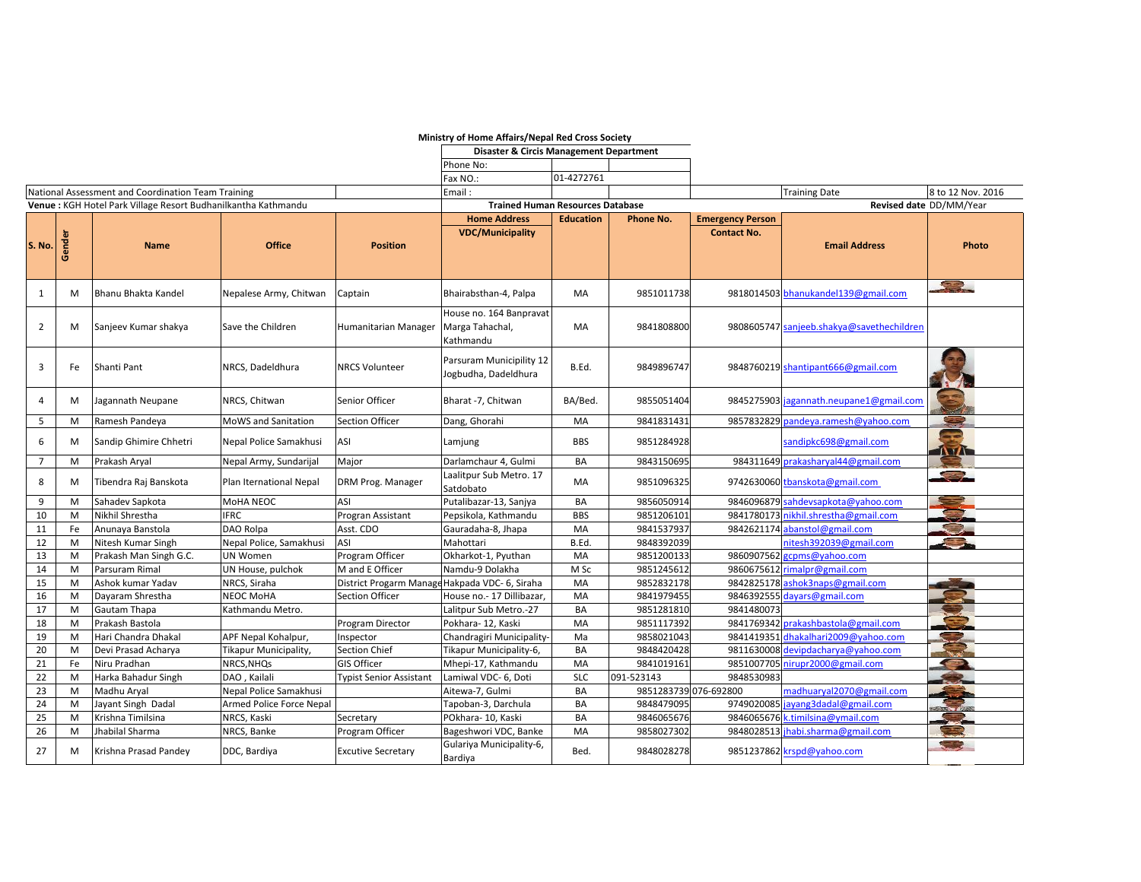|                                                               |        |                        |                            |                                         | Ministry of Home Affairs/Nepal Red Cross Society        |                  |                       |                         |                                           |                          |
|---------------------------------------------------------------|--------|------------------------|----------------------------|-----------------------------------------|---------------------------------------------------------|------------------|-----------------------|-------------------------|-------------------------------------------|--------------------------|
|                                                               |        |                        |                            |                                         | <b>Disaster &amp; Circis Management Department</b>      |                  |                       |                         |                                           |                          |
|                                                               |        |                        |                            |                                         | Phone No:                                               |                  |                       |                         |                                           |                          |
|                                                               |        |                        |                            |                                         | Fax NO.:                                                | 01-4272761       |                       |                         |                                           |                          |
| National Assessment and Coordination Team Training            |        |                        |                            | Email:                                  |                                                         |                  |                       | <b>Training Date</b>    | 8 to 12 Nov. 2016                         |                          |
| Venue: KGH Hotel Park Village Resort Budhanilkantha Kathmandu |        |                        |                            | <b>Trained Human Resources Database</b> |                                                         |                  |                       | Revised date DD/MM/Year |                                           |                          |
|                                                               |        |                        |                            |                                         | <b>Home Address</b>                                     | <b>Education</b> | <b>Phone No.</b>      | <b>Emergency Person</b> |                                           |                          |
| S. No.                                                        | Gender | <b>Name</b>            | <b>Office</b>              | <b>Position</b>                         | <b>VDC/Municipality</b>                                 |                  |                       | <b>Contact No.</b>      | <b>Email Address</b>                      | Photo                    |
| 1                                                             | м      | Bhanu Bhakta Kandel    | Nepalese Army, Chitwan     | Captain                                 | Bhairabsthan-4, Palpa                                   | MA               | 9851011738            |                         | 9818014503 bhanukandel139@gmail.com       | 22                       |
| $\overline{2}$                                                | M      | Sanjeev Kumar shakya   | Save the Children          | Humanitarian Manager                    | House no. 164 Banpravat<br>Marga Tahachal,<br>Kathmandu | MA               | 9841808800            |                         | 9808605747 sanjeeb.shakya@savethechildren |                          |
| 3                                                             | Fe     | Shanti Pant            | NRCS, Dadeldhura           | <b>NRCS Volunteer</b>                   | Parsuram Municipility 12<br>Jogbudha, Dadeldhura        | B.Ed.            | 9849896747            |                         | 9848760219 shantipant666@gmail.com        |                          |
| 4                                                             | м      | Jagannath Neupane      | NRCS, Chitwan              | Senior Officer                          | Bharat -7, Chitwan                                      | BA/Bed.          | 9855051404            |                         | 9845275903 jagannath.neupane1@gmail.com   |                          |
| 5                                                             | M      | Ramesh Pandeya         | <b>MoWS and Sanitation</b> | <b>Section Officer</b>                  | Dang, Ghorahi                                           | MA               | 9841831431            | 9857832829              | pandeya.ramesh@yahoo.com                  | $\overline{\phantom{a}}$ |
| 6                                                             | М      | Sandip Ghimire Chhetri | Nepal Police Samakhusi     | ASI                                     | Lamjung                                                 | <b>BBS</b>       | 9851284928            |                         | sandipkc698@gmail.com                     | <b>TOTAL</b>             |
| $\overline{7}$                                                | M      | Prakash Aryal          | Nepal Army, Sundarijal     | Major                                   | Darlamchaur 4, Gulmi                                    | BA               | 9843150695            |                         | 984311649 prakasharyal44@gmail.com        |                          |
| 8                                                             | M      | Tibendra Raj Banskota  | Plan Iternational Nepal    | DRM Prog. Manager                       | Laalitpur Sub Metro. 17<br>Satdobato                    | МA               | 9851096325            |                         | 9742630060 tbanskota@gmail.com            | <b>START OF</b>          |
| 9                                                             | M      | Sahadev Sapkota        | MoHA NEOC                  | ASI                                     | Putalibazar-13, Sanjya                                  | BA               | 9856050914            |                         | 9846096879 sahdevsapkota@yahoo.com        | د ک                      |
| 10                                                            | M      | Nikhil Shrestha        | <b>IFRC</b>                | Progran Assistant                       | Pepsikola, Kathmandu                                    | <b>BBS</b>       | 9851206101            | 9841780173              | nikhil.shrestha@gmail.com                 |                          |
| 11                                                            | Fe     | Anunaya Banstola       | DAO Rolpa                  | Asst. CDO                               | Gauradaha-8, Jhapa                                      | MA               | 9841537937            |                         | 9842621174 abanstol@gmail.com             |                          |
| 12                                                            | M      | Nitesh Kumar Singh     | Nepal Police, Samakhusi    | ASI                                     | Mahottari                                               | B.Ed.            | 9848392039            |                         | nitesh392039@gmail.com                    |                          |
| 13                                                            | M      | Prakash Man Singh G.C. | <b>UN Women</b>            | Program Officer                         | Okharkot-1, Pyuthan                                     | MA               | 9851200133            | 9860907562              | gcpms@yahoo.com                           |                          |
| 14                                                            | M      | Parsuram Rimal         | UN House, pulchok          | M and E Officer                         | Namdu-9 Dolakha                                         | M Sc             | 9851245612            | 9860675612              | rimalpr@gmail.com                         |                          |
| 15                                                            | M      | Ashok kumar Yadav      | NRCS, Siraha               | District Progarm Manage                 | Hakpada VDC- 6, Siraha                                  | MA               | 9852832178            |                         | 9842825178 ashok3naps@gmail.com           |                          |
| 16                                                            | M      | Dayaram Shrestha       | <b>NEOC MoHA</b>           | <b>Section Officer</b>                  | House no.- 17 Dillibazar,                               | MA               | 9841979455            |                         | 9846392555 dayars@gmail.com               |                          |
| 17                                                            | M      | <b>Gautam Thapa</b>    | Kathmandu Metro.           |                                         | Lalitpur Sub Metro.-27                                  | BA               | 9851281810            | 9841480073              |                                           |                          |
| 18                                                            | M      | Prakash Bastola        |                            | Program Director                        | Pokhara- 12, Kaski                                      | MA               | 9851117392            | 9841769342              | prakashbastola@gmail.com                  |                          |
| 19                                                            | M      | Hari Chandra Dhakal    | APF Nepal Kohalpur,        | Inspector                               | Chandragiri Municipality-                               | Ma               | 9858021043            | 9841419351              | dhakalhari2009@yahoo.com                  | Œ                        |
| 20                                                            | M      | Devi Prasad Acharya    | Tikapur Municipality,      | Section Chief                           | Tikapur Municipality-6,                                 | BA               | 9848420428            |                         | 9811630008 devipdacharya@yahoo.com        | Ç.                       |
| 21                                                            | Fe     | Niru Pradhan           | NRCS, NHQs                 | GIS Officer                             | Mhepi-17, Kathmandu                                     | MA               | 9841019161            | 9851007705              | nirupr2000@gmail.com                      | <b>SEP</b>               |
| 22                                                            | M      | Harka Bahadur Singh    | DAO, Kailali               | <b>Typist Senior Assistant</b>          | Lamiwal VDC- 6, Doti                                    | <b>SLC</b>       | 091-523143            | 9848530983              |                                           | <b>College</b>           |
| 23                                                            | M      | Madhu Aryal            | Nepal Police Samakhusi     |                                         | Aitewa-7, Gulmi                                         | BA               | 9851283739 076-692800 |                         | madhuaryal2070@gmail.com                  |                          |
| 24                                                            | M      | Jayant Singh Dadal     | Armed Police Force Nepal   |                                         | Tapoban-3, Darchula                                     | BA               | 9848479095            |                         | 9749020085 jayang3dadal@gmail.com         |                          |
| 25                                                            | M      | Krishna Timilsina      | NRCS, Kaski                | Secretary                               | POkhara- 10, Kaski                                      | BA               | 9846065676            |                         | 9846065676 k.timilsina@ymail.com          |                          |
| 26                                                            | M      | Jhabilal Sharma        | NRCS, Banke                | Program Officer                         | Bageshwori VDC, Banke                                   | MA               | 9858027302            |                         | 9848028513 jhabi.sharma@gmail.com         | <b>CONTRACTOR</b>        |
| 27                                                            | M      | Krishna Prasad Pandey  | DDC, Bardiya               | <b>Excutive Secretary</b>               | Gulariya Municipality-6,<br>Bardiya                     | Bed.             | 9848028278            |                         | 9851237862 krspd@yahoo.com                | $\sim$ $\sim$            |